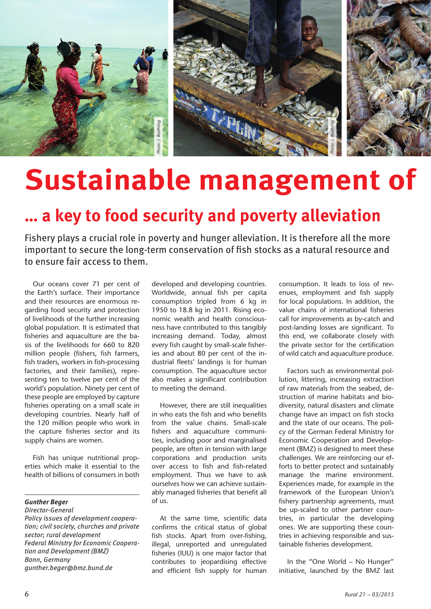

# **Sustainable management of**

## **… a key to food security and poverty alleviation**

Fishery plays a crucial role in poverty and hunger alleviation. It is therefore all the more important to secure the long-term conservation of fish stocks as a natural resource and to ensure fair access to them.

Our oceans cover 71 per cent of the Earth's surface. Their importance and their resources are enormous regarding food security and protection of livelihoods of the further increasing global population. It is estimated that fisheries and aquaculture are the basis of the livelihoods for 660 to 820 million people (fishers, fish farmers, fish traders, workers in fish-processing factories, and their families), representing ten to twelve per cent of the world's population. Ninety per cent of these people are employed by capture fisheries operating on a small scale in developing countries. Nearly half of the 120 million people who work in the capture fisheries sector and its supply chains are women.

Fish has unique nutritional properties which make it essential to the health of billions of consumers in both

### *Gunther Beger*

*Director-General Policy issues of development cooperation; civil society, churches and private sector; rural development Federal Ministry for Economic Cooperation and Development (BMZ) Bonn, Germany gunther.beger@bmz.bund.de*

developed and developing countries. Worldwide, annual fish per capita consumption tripled from 6 kg in 1950 to 18.8 kg in 2011. Rising economic wealth and health consciousness have contributed to this tangibly increasing demand. Today, almost every fish caught by small-scale fisheries and about 80 per cent of the industrial fleets' landings is for human consumption. The aquaculture sector also makes a significant contribution to meeting the demand.

However, there are still inequalities in who eats the fish and who benefits from the value chains. Small-scale fishers and aquaculture communities, including poor and marginalised people, are often in tension with large corporations and production units over access to fish and fish-related employment. Thus we have to ask ourselves how we can achieve sustainably managed fisheries that benefit all of us.

At the same time, scientific data confirms the critical status of global fish stocks. Apart from over-fishing, illegal, unreported and unregulated fisheries (IUU) is one major factor that contributes to jeopardising effective and efficient fish supply for human

consumption. It leads to loss of revenues, employment and fish supply for local populations. In addition, the value chains of international fisheries call for improvements as by-catch and post-landing losses are significant. To this end, we collaborate closely with the private sector for the certification of wild catch and aquaculture produce.

Factors such as environmental pollution, littering, increasing extraction of raw materials from the seabed, destruction of marine habitats and biodiversity, natural disasters and climate change have an impact on fish stocks and the state of our oceans. The policy of the German Federal Ministry for Economic Cooperation and Development (BMZ) is designed to meet these challenges. We are reinforcing our efforts to better protect and sustainably manage the marine environment. Experiences made, for example in the framework of the European Union's fishery partnership agreements, must be up-scaled to other partner countries, in particular the developing ones. We are supporting these countries in achieving responsible and sustainable fisheries development.

In the "One World – No Hunger" initiative, launched by the BMZ last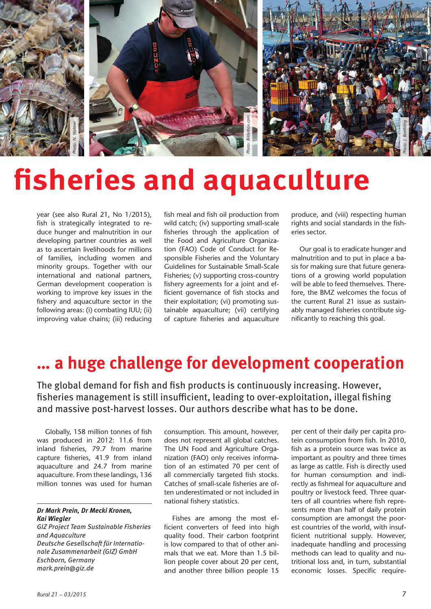

## **fisheries and aquaculture**

year (see also Rural 21, No 1/2015), fish is strategically integrated to reduce hunger and malnutrition in our developing partner countries as well as to ascertain livelihoods for millions of families, including women and minority groups. Together with our international and national partners, German development cooperation is working to improve key issues in the fishery and aquaculture sector in the following areas: (i) combating IUU; (ii) improving value chains; (iii) reducing **Example 12**<br> *Mark gives an also* Rura<br> *Mark gives an also* Rura<br> *mark is strategically*<br>
duce hunger and r<br> *developing partner*<br>
as to ascertain livel<br>
of families, include<br>
minority groups.<br>
international and<br>
Cerman

fish meal and fish oil production from wild catch; (iv) supporting small-scale fisheries through the application of the Food and Agriculture Organization (FAO) Code of Conduct for Responsible Fisheries and the Voluntary Guidelines for Sustainable Small-Scale Fisheries; (v) supporting cross-country fishery agreements for a joint and efficient governance of fish stocks and their exploitation; (vi) promoting sustainable aquaculture; (vii) certifying of capture fisheries and aquaculture

produce, and (viii) respecting human rights and social standards in the fisheries sector.

Our goal is to eradicate hunger and malnutrition and to put in place a basis for making sure that future generations of a growing world population will be able to feed themselves. Therefore, the BMZ welcomes the focus of the current Rural 21 issue as sustainably managed fisheries contribute significantly to reaching this goal.

### **… a huge challenge for development cooperation**

The global demand for fish and fish products is continuously increasing. However, fisheries management is still insufficient, leading to over-exploitation, illegal fishing and massive post-harvest losses. Our authors describe what has to be done.

Globally, 158 million tonnes of fish was produced in 2012: 11.6 from inland fisheries, 79.7 from marine capture fisheries, 41.9 from inland aquaculture and 24.7 from marine aquaculture. From these landings, 136 million tonnes was used for human

### *Dr Mark Prein, Dr Mecki Kronen, Kai Wiegler*

*GIZ Project Team Sustainable Fisheries and Aquaculture Deutsche Gesellschaft für Internationale Zusammenarbeit (GIZ) GmbH Eschborn, Germany*  mark.prein@giz.de

consumption. This amount, however, does not represent all global catches. The UN Food and Agriculture Organization (FAO) only receives information of an estimated 70 per cent of all commercially targeted fish stocks. Catches of small-scale fisheries are often underestimated or not included in national fishery statistics.

Fishes are among the most efficient converters of feed into high quality food. Their carbon footprint is low compared to that of other animals that we eat. More than 1.5 billion people cover about 20 per cent, and another three billion people 15

per cent of their daily per capita protein consumption from fish. In 2010, fish as a protein source was twice as important as poultry and three times as large as cattle. Fish is directly used for human consumption and indirectly as fishmeal for aquaculture and poultry or livestock feed. Three quarters of all countries where fish represents more than half of daily protein consumption are amongst the poorest countries of the world, with insufficient nutritional supply. However, inadequate handling and processing methods can lead to quality and nutritional loss and, in turn, substantial economic losses. Specific require-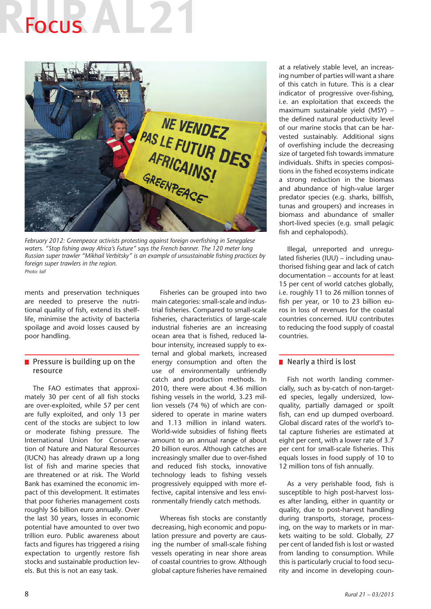# Focus **Follow**



*February 2012: Greenpeace activists protesting against foreign overfishing in Senegalese waters. "Stop fishing away Africa's Future" says the French banner. The 120 meter long Russian super trawler "Mikhail Verbitsky" is an example of unsustainable fishing practices by foreign super trawlers in the region. Photo: laif*

ments and preservation techniques are needed to preserve the nutritional quality of fish, extend its shelflife, minimise the activity of bacteria spoilage and avoid losses caused by poor handling.

### $\blacksquare$  Pressure is building up on the resource

The FAO estimates that approximately 30 per cent of all fish stocks are over-exploited, while 57 per cent are fully exploited, and only 13 per cent of the stocks are subject to low or moderate fishing pressure. The International Union for Conservation of Nature and Natural Resources (IUCN) has already drawn up a long list of fish and marine species that are threatened or at risk. The World Bank has examined the economic impact of this development. It estimates that poor fisheries management costs roughly 56 billion euro annually. Over the last 30 years, losses in economic potential have amounted to over two trillion euro. Public awareness about facts and figures has triggered a rising expectation to urgently restore fish stocks and sustainable production levels. But this is not an easy task.

Fisheries can be grouped into two main categories: small-scale and industrial fisheries. Compared to small-scale fisheries, characteristics of large-scale industrial fisheries are an increasing ocean area that is fished, reduced labour intensity, increased supply to external and global markets, increased energy consumption and often the use of environmentally unfriendly catch and production methods. In 2010, there were about 4.36 million fishing vessels in the world, 3.23 million vessels (74 %) of which are considered to operate in marine waters and 1.13 million in inland waters. World-wide subsidies of fishing fleets amount to an annual range of about 20 billion euros. Although catches are increasingly smaller due to over-fished and reduced fish stocks, innovative technology leads to fishing vessels progressively equipped with more effective, capital intensive and less environmentally friendly catch methods.

Whereas fish stocks are constantly decreasing, high economic and population pressure and poverty are causing the number of small-scale fishing vessels operating in near shore areas of coastal countries to grow. Although global capture fisheries have remained

at a relatively stable level, an increasing number of parties will want a share of this catch in future. This is a clear indicator of progressive over-fishing, i.e. an exploitation that exceeds the maximum sustainable yield (MSY) – the defined natural productivity level of our marine stocks that can be harvested sustainably. Additional signs of overfishing include the decreasing size of targeted fish towards immature individuals. Shifts in species compositions in the fished ecosystems indicate a strong reduction in the biomass and abundance of high-value larger predator species (e.g. sharks, billfish, tunas and groupers) and increases in biomass and abundance of smaller short-lived species (e.g. small pelagic fish and cephalopods).

Illegal, unreported and unregulated fisheries (IUU) – including unauthorised fishing gear and lack of catch documentation – accounts for at least 15 per cent of world catches globally, i.e. roughly 11 to 26 million tonnes of fish per year, or 10 to 23 billion euros in loss of revenues for the coastal countries concerned. IUU contributes to reducing the food supply of coastal countries.

### Nearly a third is lost

Fish not worth landing commercially, such as by-catch of non-targeted species, legally undersized, lowquality, partially damaged or spoilt fish, can end up dumped overboard. Global discard rates of the world's total capture fisheries are estimated at eight per cent, with a lower rate of 3.7 per cent for small-scale fisheries. This equals losses in food supply of 10 to 12 million tons of fish annually.

As a very perishable food, fish is susceptible to high post-harvest losses after landing, either in quantity or quality, due to post-harvest handling during transports, storage, processing, on the way to markets or in markets waiting to be sold. Globally, 27 per cent of landed fish is lost or wasted from landing to consumption. While this is particularly crucial to food security and income in developing coun-